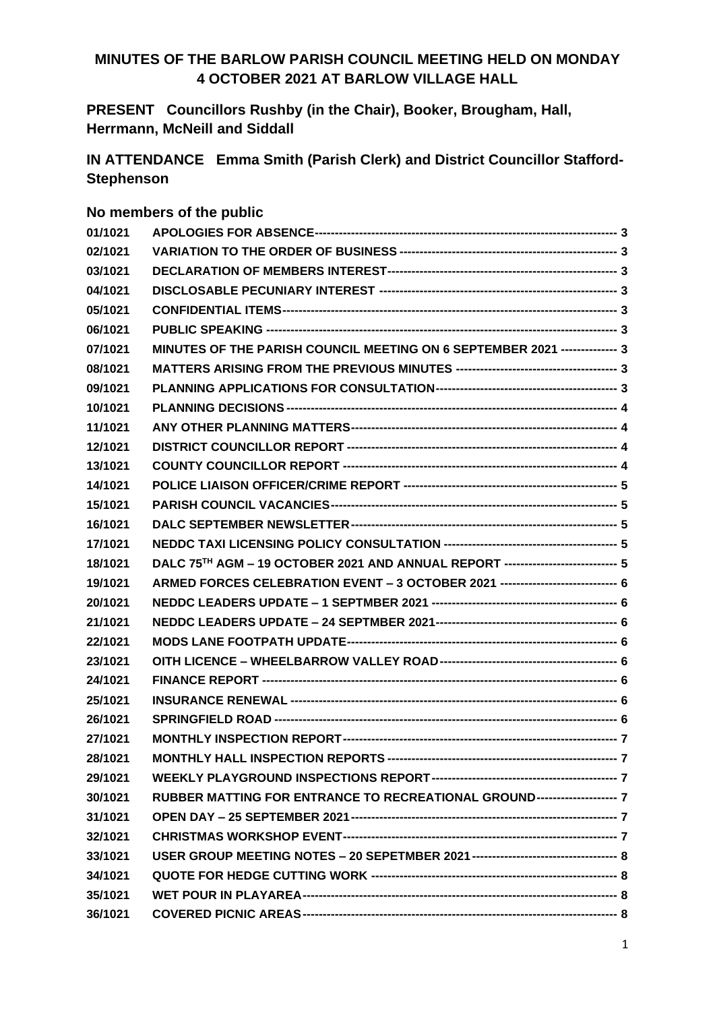## **MINUTES OF THE BARLOW PARISH COUNCIL MEETING HELD ON MONDAY 4 OCTOBER 2021 AT BARLOW VILLAGE HALL**

**PRESENT Councillors Rushby (in the Chair), Booker, Brougham, Hall, Herrmann, McNeill and Siddall**

**IN ATTENDANCE Emma Smith (Parish Clerk) and District Councillor Stafford-Stephenson**

#### **No members of the public**

| 01/1021 |                                                                                  |  |
|---------|----------------------------------------------------------------------------------|--|
| 02/1021 |                                                                                  |  |
| 03/1021 |                                                                                  |  |
| 04/1021 |                                                                                  |  |
| 05/1021 |                                                                                  |  |
| 06/1021 |                                                                                  |  |
| 07/1021 | MINUTES OF THE PARISH COUNCIL MEETING ON 6 SEPTEMBER 2021 -------------- 3       |  |
| 08/1021 |                                                                                  |  |
| 09/1021 |                                                                                  |  |
| 10/1021 |                                                                                  |  |
| 11/1021 |                                                                                  |  |
| 12/1021 |                                                                                  |  |
| 13/1021 |                                                                                  |  |
| 14/1021 |                                                                                  |  |
| 15/1021 |                                                                                  |  |
| 16/1021 |                                                                                  |  |
| 17/1021 |                                                                                  |  |
| 18/1021 | DALC 75TH AGM - 19 OCTOBER 2021 AND ANNUAL REPORT ---------------------------- 5 |  |
| 19/1021 | ARMED FORCES CELEBRATION EVENT - 3 OCTOBER 2021 ---------------------------- 6   |  |
| 20/1021 |                                                                                  |  |
| 21/1021 |                                                                                  |  |
| 22/1021 |                                                                                  |  |
| 23/1021 |                                                                                  |  |
| 24/1021 |                                                                                  |  |
| 25/1021 |                                                                                  |  |
| 26/1021 |                                                                                  |  |
| 27/1021 |                                                                                  |  |
| 28/1021 |                                                                                  |  |
| 29/1021 |                                                                                  |  |
| 30/1021 | RUBBER MATTING FOR ENTRANCE TO RECREATIONAL GROUND-------------------- 7         |  |
| 31/1021 |                                                                                  |  |
| 32/1021 |                                                                                  |  |
| 33/1021 |                                                                                  |  |
| 34/1021 |                                                                                  |  |
| 35/1021 |                                                                                  |  |
| 36/1021 |                                                                                  |  |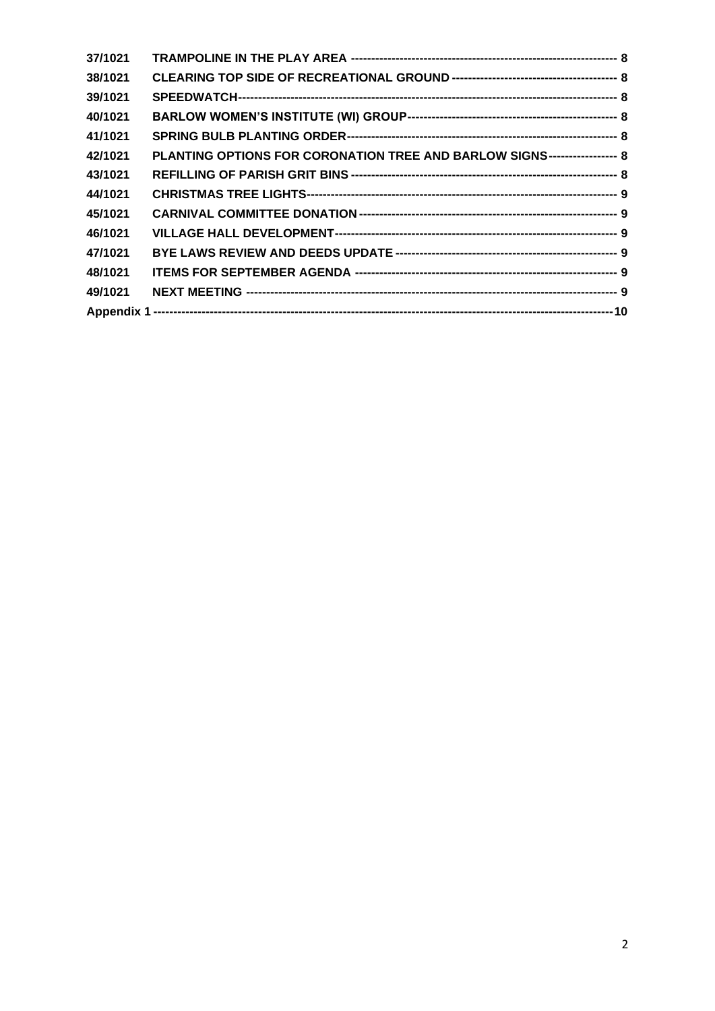| 37/1021 |                                                                          |  |
|---------|--------------------------------------------------------------------------|--|
| 38/1021 |                                                                          |  |
| 39/1021 |                                                                          |  |
| 40/1021 |                                                                          |  |
| 41/1021 |                                                                          |  |
| 42/1021 | PLANTING OPTIONS FOR CORONATION TREE AND BARLOW SIGNS----------------- 8 |  |
| 43/1021 |                                                                          |  |
| 44/1021 |                                                                          |  |
| 45/1021 |                                                                          |  |
| 46/1021 |                                                                          |  |
| 47/1021 |                                                                          |  |
| 48/1021 |                                                                          |  |
| 49/1021 |                                                                          |  |
|         |                                                                          |  |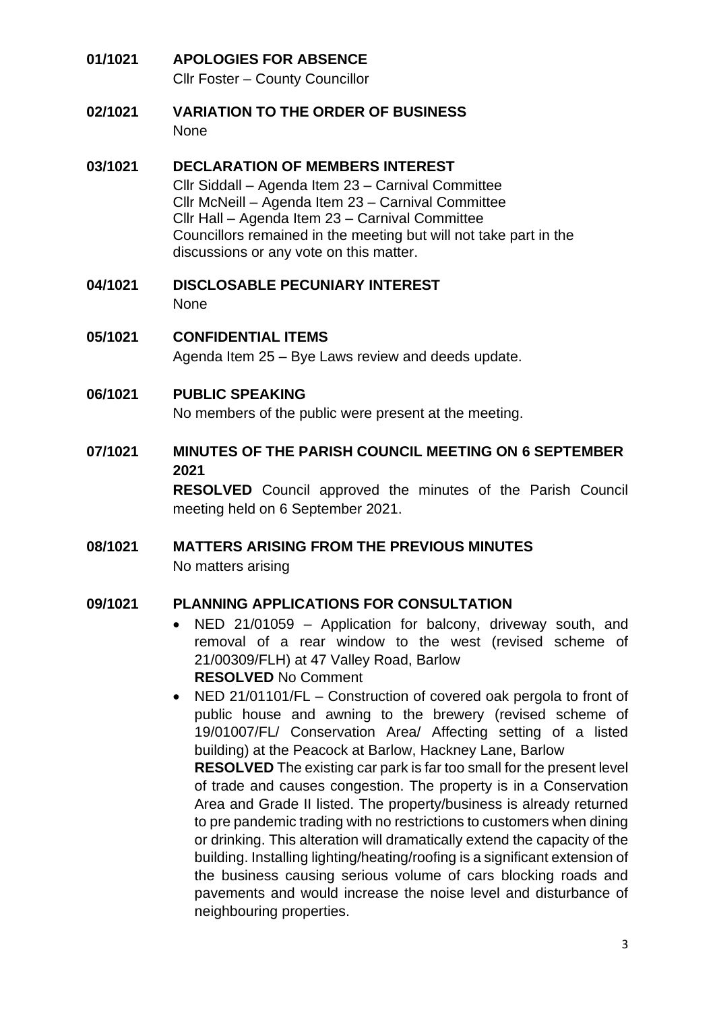#### **01/1021 APOLOGIES FOR ABSENCE** Cllr Foster – County Councillor

**02/1021 VARIATION TO THE ORDER OF BUSINESS** None

## **03/1021 DECLARATION OF MEMBERS INTEREST**

Cllr Siddall – Agenda Item 23 – Carnival Committee Cllr McNeill – Agenda Item 23 – Carnival Committee Cllr Hall – Agenda Item 23 – Carnival Committee Councillors remained in the meeting but will not take part in the discussions or any vote on this matter.

- **04/1021 DISCLOSABLE PECUNIARY INTEREST** None
- **05/1021 CONFIDENTIAL ITEMS** Agenda Item 25 – Bye Laws review and deeds update.
- **06/1021 PUBLIC SPEAKING**

No members of the public were present at the meeting.

**07/1021 MINUTES OF THE PARISH COUNCIL MEETING ON 6 SEPTEMBER 2021**

> **RESOLVED** Council approved the minutes of the Parish Council meeting held on 6 September 2021.

**08/1021 MATTERS ARISING FROM THE PREVIOUS MINUTES**  No matters arising

#### **09/1021 PLANNING APPLICATIONS FOR CONSULTATION**

- NED 21/01059 Application for balcony, driveway south, and removal of a rear window to the west (revised scheme of 21/00309/FLH) at 47 Valley Road, Barlow **RESOLVED** No Comment
- NED 21/01101/FL Construction of covered oak pergola to front of public house and awning to the brewery (revised scheme of 19/01007/FL/ Conservation Area/ Affecting setting of a listed building) at the Peacock at Barlow, Hackney Lane, Barlow **RESOLVED** The existing car park is far too small for the present level of trade and causes congestion. The property is in a Conservation Area and Grade II listed. The property/business is already returned to pre pandemic trading with no restrictions to customers when dining or drinking. This alteration will dramatically extend the capacity of the building. Installing lighting/heating/roofing is a significant extension of the business causing serious volume of cars blocking roads and pavements and would increase the noise level and disturbance of neighbouring properties.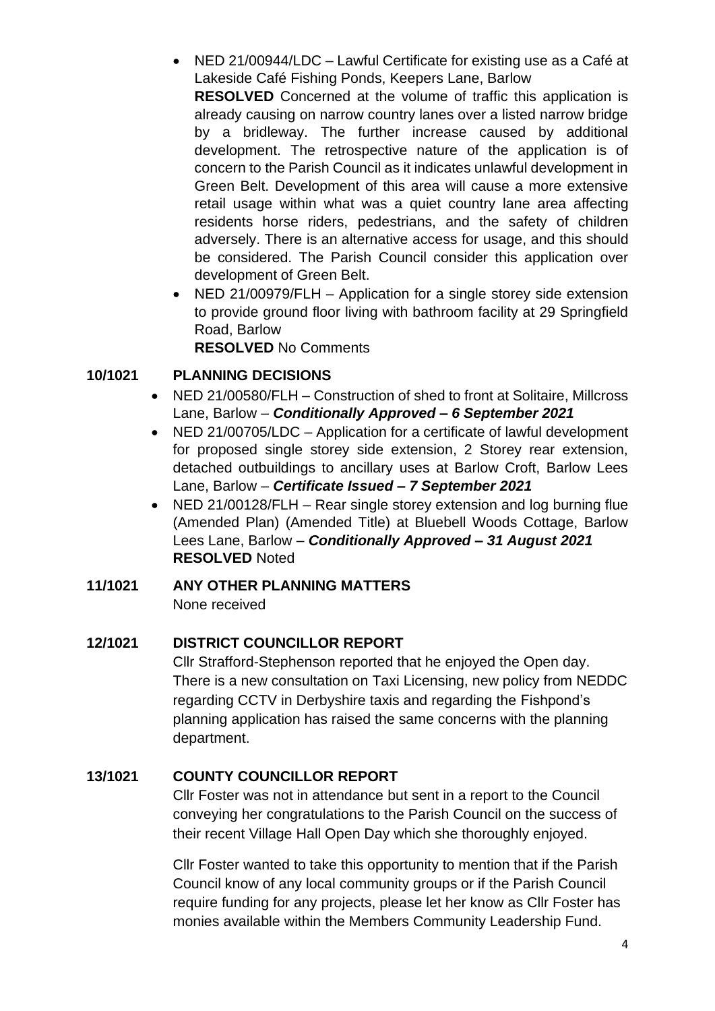• NED 21/00944/LDC – Lawful Certificate for existing use as a Café at Lakeside Café Fishing Ponds, Keepers Lane, Barlow

**RESOLVED** Concerned at the volume of traffic this application is already causing on narrow country lanes over a listed narrow bridge by a bridleway. The further increase caused by additional development. The retrospective nature of the application is of concern to the Parish Council as it indicates unlawful development in Green Belt. Development of this area will cause a more extensive retail usage within what was a quiet country lane area affecting residents horse riders, pedestrians, and the safety of children adversely. There is an alternative access for usage, and this should be considered. The Parish Council consider this application over development of Green Belt.

• NED 21/00979/FLH – Application for a single storey side extension to provide ground floor living with bathroom facility at 29 Springfield Road, Barlow

**RESOLVED** No Comments

## **10/1021 PLANNING DECISIONS**

- NED 21/00580/FLH Construction of shed to front at Solitaire, Millcross Lane, Barlow – *Conditionally Approved – 6 September 2021*
- NED 21/00705/LDC Application for a certificate of lawful development for proposed single storey side extension, 2 Storey rear extension, detached outbuildings to ancillary uses at Barlow Croft, Barlow Lees Lane, Barlow – *Certificate Issued – 7 September 2021*
- NED 21/00128/FLH Rear single storey extension and log burning flue (Amended Plan) (Amended Title) at Bluebell Woods Cottage, Barlow Lees Lane, Barlow – *Conditionally Approved – 31 August 2021* **RESOLVED** Noted

## **11/1021 ANY OTHER PLANNING MATTERS**

None received

## **12/1021 DISTRICT COUNCILLOR REPORT**

Cllr Strafford-Stephenson reported that he enjoyed the Open day. There is a new consultation on Taxi Licensing, new policy from NEDDC regarding CCTV in Derbyshire taxis and regarding the Fishpond's planning application has raised the same concerns with the planning department.

## **13/1021 COUNTY COUNCILLOR REPORT**

Cllr Foster was not in attendance but sent in a report to the Council conveying her congratulations to the Parish Council on the success of their recent Village Hall Open Day which she thoroughly enjoyed.

Cllr Foster wanted to take this opportunity to mention that if the Parish Council know of any local community groups or if the Parish Council require funding for any projects, please let her know as Cllr Foster has monies available within the Members Community Leadership Fund.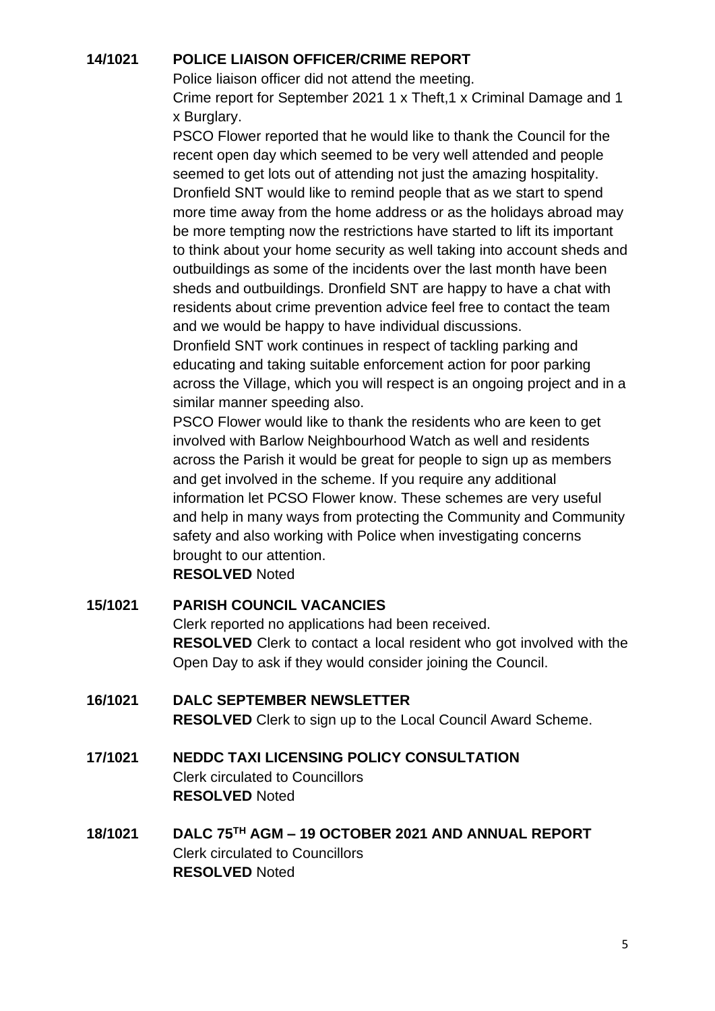#### **14/1021 POLICE LIAISON OFFICER/CRIME REPORT**

Police liaison officer did not attend the meeting.

Crime report for September 2021 1 x Theft,1 x Criminal Damage and 1 x Burglary.

PSCO Flower reported that he would like to thank the Council for the recent open day which seemed to be very well attended and people seemed to get lots out of attending not just the amazing hospitality. Dronfield SNT would like to remind people that as we start to spend more time away from the home address or as the holidays abroad may be more tempting now the restrictions have started to lift its important to think about your home security as well taking into account sheds and outbuildings as some of the incidents over the last month have been sheds and outbuildings. Dronfield SNT are happy to have a chat with residents about crime prevention advice feel free to contact the team and we would be happy to have individual discussions.

Dronfield SNT work continues in respect of tackling parking and educating and taking suitable enforcement action for poor parking across the Village, which you will respect is an ongoing project and in a similar manner speeding also.

PSCO Flower would like to thank the residents who are keen to get involved with Barlow Neighbourhood Watch as well and residents across the Parish it would be great for people to sign up as members and get involved in the scheme. If you require any additional information let PCSO Flower know. These schemes are very useful and help in many ways from protecting the Community and Community safety and also working with Police when investigating concerns brought to our attention.

**RESOLVED** Noted

## **15/1021 PARISH COUNCIL VACANCIES**

Clerk reported no applications had been received. **RESOLVED** Clerk to contact a local resident who got involved with the Open Day to ask if they would consider joining the Council.

## **16/1021 DALC SEPTEMBER NEWSLETTER RESOLVED** Clerk to sign up to the Local Council Award Scheme.

- **17/1021 NEDDC TAXI LICENSING POLICY CONSULTATION** Clerk circulated to Councillors **RESOLVED** Noted
- **18/1021 DALC 75TH AGM – 19 OCTOBER 2021 AND ANNUAL REPORT** Clerk circulated to Councillors **RESOLVED** Noted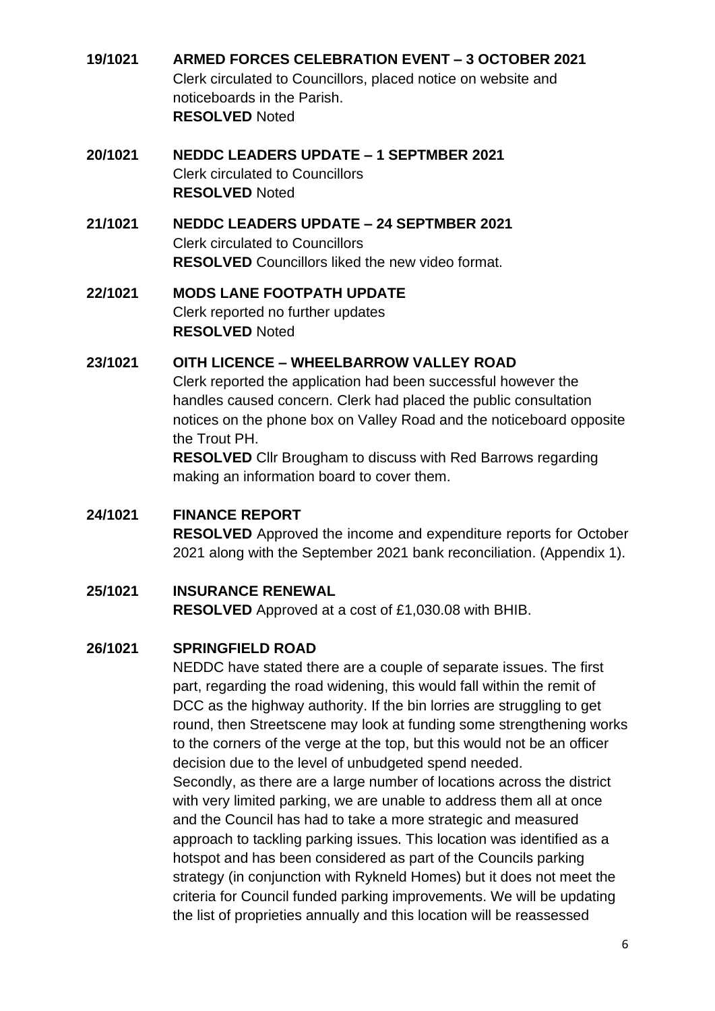- **19/1021 ARMED FORCES CELEBRATION EVENT – 3 OCTOBER 2021** Clerk circulated to Councillors, placed notice on website and noticeboards in the Parish. **RESOLVED** Noted
- **20/1021 NEDDC LEADERS UPDATE – 1 SEPTMBER 2021**  Clerk circulated to Councillors **RESOLVED** Noted

#### **21/1021 NEDDC LEADERS UPDATE – 24 SEPTMBER 2021**  Clerk circulated to Councillors **RESOLVED** Councillors liked the new video format.

## **22/1021 MODS LANE FOOTPATH UPDATE** Clerk reported no further updates **RESOLVED** Noted

## **23/1021 OITH LICENCE – WHEELBARROW VALLEY ROAD**

Clerk reported the application had been successful however the handles caused concern. Clerk had placed the public consultation notices on the phone box on Valley Road and the noticeboard opposite the Trout PH.

**RESOLVED** Cllr Brougham to discuss with Red Barrows regarding making an information board to cover them.

#### **24/1021 FINANCE REPORT RESOLVED** Approved the income and expenditure reports for October 2021 along with the September 2021 bank reconciliation. (Appendix 1).

## **25/1021 INSURANCE RENEWAL**

**RESOLVED** Approved at a cost of £1,030.08 with BHIB.

## **26/1021 SPRINGFIELD ROAD**

NEDDC have stated there are a couple of separate issues. The first part, regarding the road widening, this would fall within the remit of DCC as the highway authority. If the bin lorries are struggling to get round, then Streetscene may look at funding some strengthening works to the corners of the verge at the top, but this would not be an officer decision due to the level of unbudgeted spend needed. Secondly, as there are a large number of locations across the district with very limited parking, we are unable to address them all at once and the Council has had to take a more strategic and measured approach to tackling parking issues. This location was identified as a hotspot and has been considered as part of the Councils parking strategy (in conjunction with Rykneld Homes) but it does not meet the criteria for Council funded parking improvements. We will be updating the list of proprieties annually and this location will be reassessed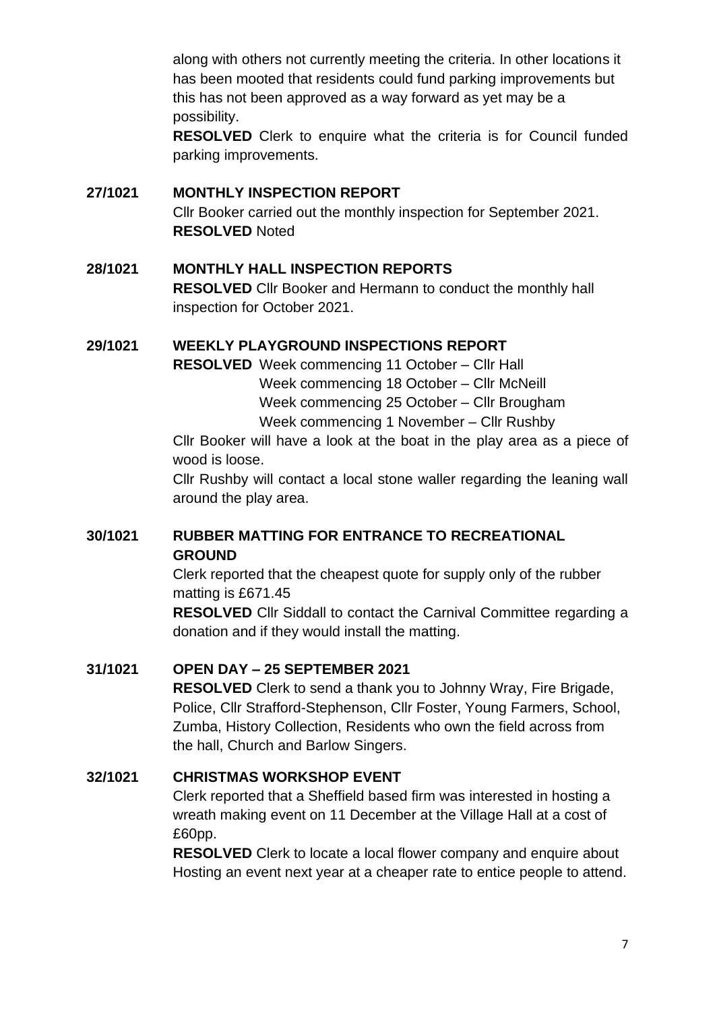along with others not currently meeting the criteria. In other locations it has been mooted that residents could fund parking improvements but this has not been approved as a way forward as yet may be a possibility.

**RESOLVED** Clerk to enquire what the criteria is for Council funded parking improvements.

#### **27/1021 MONTHLY INSPECTION REPORT**

Cllr Booker carried out the monthly inspection for September 2021. **RESOLVED** Noted

## **28/1021 MONTHLY HALL INSPECTION REPORTS**

**RESOLVED** Cllr Booker and Hermann to conduct the monthly hall inspection for October 2021.

#### **29/1021 WEEKLY PLAYGROUND INSPECTIONS REPORT**

**RESOLVED** Week commencing 11 October – Cllr Hall

Week commencing 18 October – Cllr McNeill

Week commencing 25 October – Cllr Brougham

Week commencing 1 November – Cllr Rushby

Cllr Booker will have a look at the boat in the play area as a piece of wood is loose.

Cllr Rushby will contact a local stone waller regarding the leaning wall around the play area.

## **30/1021 RUBBER MATTING FOR ENTRANCE TO RECREATIONAL GROUND**

Clerk reported that the cheapest quote for supply only of the rubber matting is £671.45

**RESOLVED** Cllr Siddall to contact the Carnival Committee regarding a donation and if they would install the matting.

## **31/1021 OPEN DAY – 25 SEPTEMBER 2021**

**RESOLVED** Clerk to send a thank you to Johnny Wray, Fire Brigade, Police, Cllr Strafford-Stephenson, Cllr Foster, Young Farmers, School, Zumba, History Collection, Residents who own the field across from the hall, Church and Barlow Singers.

## **32/1021 CHRISTMAS WORKSHOP EVENT**

Clerk reported that a Sheffield based firm was interested in hosting a wreath making event on 11 December at the Village Hall at a cost of £60pp.

**RESOLVED** Clerk to locate a local flower company and enquire about Hosting an event next year at a cheaper rate to entice people to attend.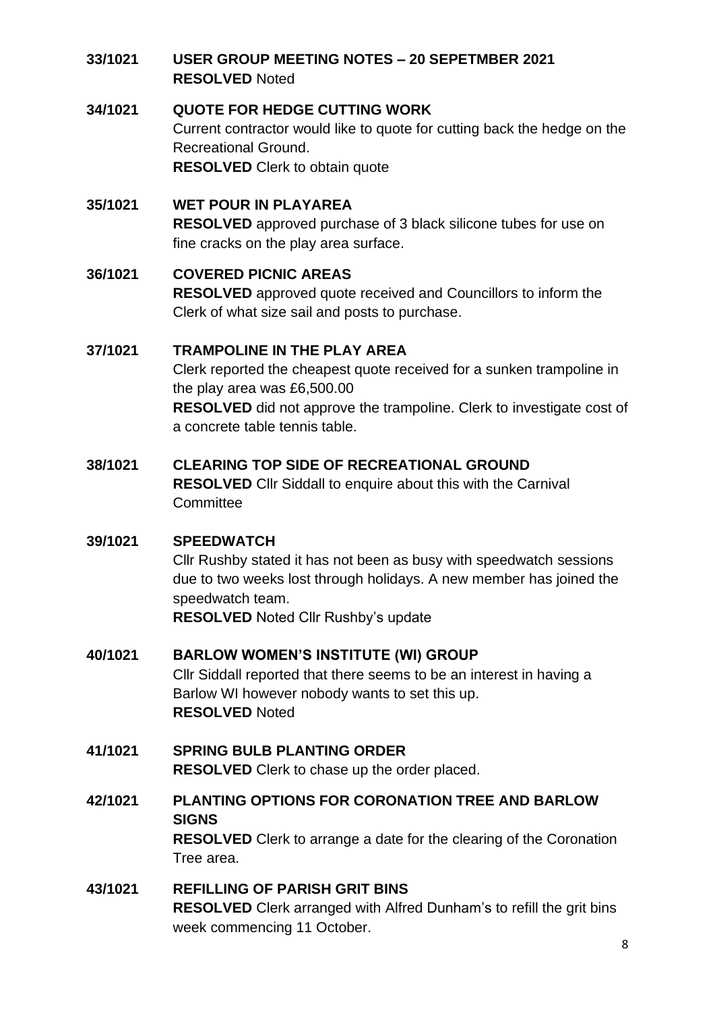### **33/1021 USER GROUP MEETING NOTES – 20 SEPETMBER 2021 RESOLVED** Noted

#### **34/1021 QUOTE FOR HEDGE CUTTING WORK**

Current contractor would like to quote for cutting back the hedge on the Recreational Ground. **RESOLVED** Clerk to obtain quote

## **35/1021 WET POUR IN PLAYAREA**

**RESOLVED** approved purchase of 3 black silicone tubes for use on fine cracks on the play area surface.

#### **36/1021 COVERED PICNIC AREAS**

**RESOLVED** approved quote received and Councillors to inform the Clerk of what size sail and posts to purchase.

#### **37/1021 TRAMPOLINE IN THE PLAY AREA**

Clerk reported the cheapest quote received for a sunken trampoline in the play area was £6,500.00 **RESOLVED** did not approve the trampoline. Clerk to investigate cost of a concrete table tennis table.

#### **38/1021 CLEARING TOP SIDE OF RECREATIONAL GROUND**

**RESOLVED** Cllr Siddall to enquire about this with the Carnival **Committee** 

#### **39/1021 SPEEDWATCH**

Cllr Rushby stated it has not been as busy with speedwatch sessions due to two weeks lost through holidays. A new member has joined the speedwatch team.

**RESOLVED** Noted Cllr Rushby's update

## **40/1021 BARLOW WOMEN'S INSTITUTE (WI) GROUP**

Cllr Siddall reported that there seems to be an interest in having a Barlow WI however nobody wants to set this up. **RESOLVED** Noted

## **41/1021 SPRING BULB PLANTING ORDER RESOLVED** Clerk to chase up the order placed.

**42/1021 PLANTING OPTIONS FOR CORONATION TREE AND BARLOW SIGNS RESOLVED** Clerk to arrange a date for the clearing of the Coronation Tree area.

## **43/1021 REFILLING OF PARISH GRIT BINS RESOLVED** Clerk arranged with Alfred Dunham's to refill the grit bins week commencing 11 October.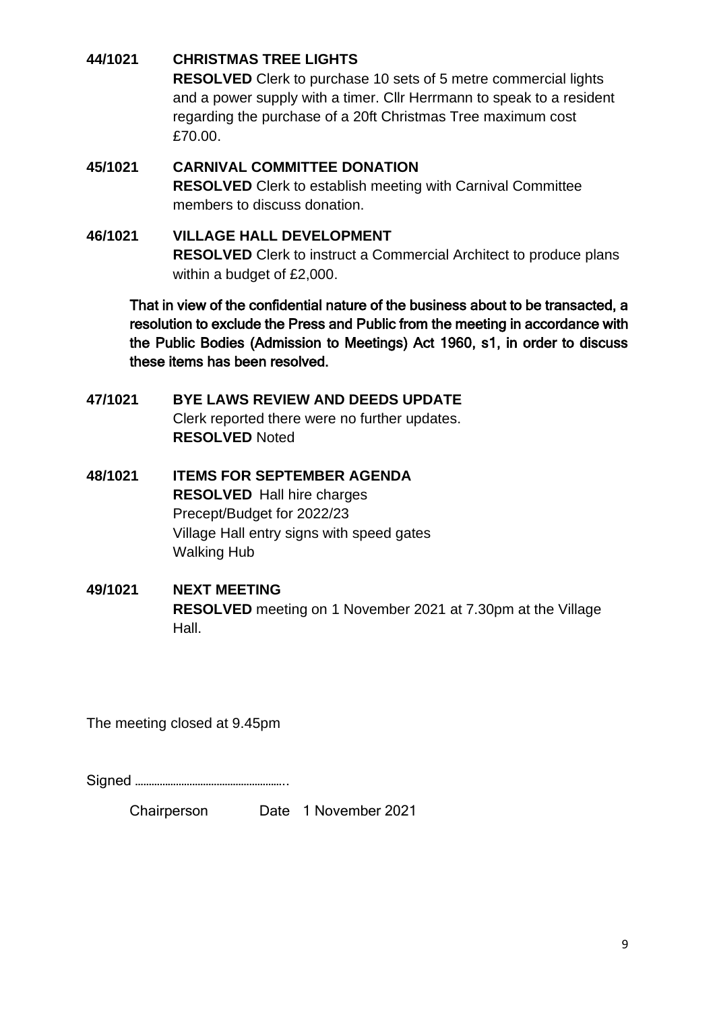### **44/1021 CHRISTMAS TREE LIGHTS**

**RESOLVED** Clerk to purchase 10 sets of 5 metre commercial lights and a power supply with a timer. Cllr Herrmann to speak to a resident regarding the purchase of a 20ft Christmas Tree maximum cost £70.00.

## **45/1021 CARNIVAL COMMITTEE DONATION RESOLVED** Clerk to establish meeting with Carnival Committee members to discuss donation.

## **46/1021 VILLAGE HALL DEVELOPMENT RESOLVED** Clerk to instruct a Commercial Architect to produce plans within a budget of £2,000.

That in view of the confidential nature of the business about to be transacted, a resolution to exclude the Press and Public from the meeting in accordance with the Public Bodies (Admission to Meetings) Act 1960, s1, in order to discuss these items has been resolved.

- **47/1021 BYE LAWS REVIEW AND DEEDS UPDATE** Clerk reported there were no further updates. **RESOLVED** Noted
- **48/1021 ITEMS FOR SEPTEMBER AGENDA RESOLVED** Hall hire charges Precept/Budget for 2022/23 Village Hall entry signs with speed gates Walking Hub

### **49/1021 NEXT MEETING RESOLVED** meeting on 1 November 2021 at 7.30pm at the Village Hall.

The meeting closed at 9.45pm

Signed ………………………………………………..

Chairperson Date 1 November 2021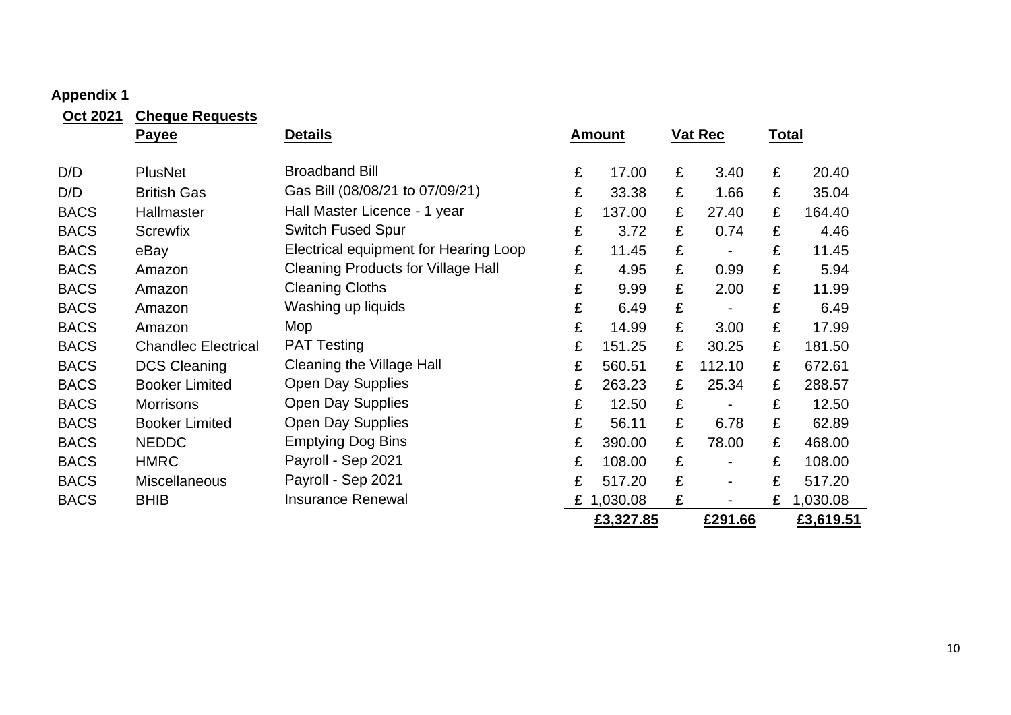# **Appendix 1**

| Oct 2021    | <b>Cheque Requests</b>     |                                           |   |               |   |                          |              |           |
|-------------|----------------------------|-------------------------------------------|---|---------------|---|--------------------------|--------------|-----------|
|             | <b>Payee</b>               | <b>Details</b>                            |   | <b>Amount</b> |   | <b>Vat Rec</b>           | <b>Total</b> |           |
| D/D         | <b>PlusNet</b>             | <b>Broadband Bill</b>                     | £ | 17.00         | £ | 3.40                     | £            | 20.40     |
|             |                            | Gas Bill (08/08/21 to 07/09/21)           |   |               |   |                          |              |           |
| D/D         | <b>British Gas</b>         |                                           | £ | 33.38         | £ | 1.66                     | £            | 35.04     |
| <b>BACS</b> | Hallmaster                 | Hall Master Licence - 1 year              | £ | 137.00        | £ | 27.40                    | £            | 164.40    |
| <b>BACS</b> | <b>Screwfix</b>            | <b>Switch Fused Spur</b>                  | £ | 3.72          | £ | 0.74                     | £            | 4.46      |
| <b>BACS</b> | eBay                       | Electrical equipment for Hearing Loop     | £ | 11.45         | £ |                          | £            | 11.45     |
| <b>BACS</b> | Amazon                     | <b>Cleaning Products for Village Hall</b> | £ | 4.95          | £ | 0.99                     | £            | 5.94      |
| <b>BACS</b> | Amazon                     | <b>Cleaning Cloths</b>                    | £ | 9.99          | £ | 2.00                     | £            | 11.99     |
| <b>BACS</b> | Amazon                     | Washing up liquids                        | £ | 6.49          | £ | $\overline{\phantom{a}}$ | £            | 6.49      |
| <b>BACS</b> | Amazon                     | Mop                                       | £ | 14.99         | £ | 3.00                     | £            | 17.99     |
| <b>BACS</b> | <b>Chandlec Electrical</b> | <b>PAT Testing</b>                        | £ | 151.25        | £ | 30.25                    | £            | 181.50    |
| <b>BACS</b> | <b>DCS Cleaning</b>        | <b>Cleaning the Village Hall</b>          | £ | 560.51        | £ | 112.10                   | £            | 672.61    |
| <b>BACS</b> | <b>Booker Limited</b>      | <b>Open Day Supplies</b>                  | £ | 263.23        | £ | 25.34                    | £            | 288.57    |
| <b>BACS</b> | <b>Morrisons</b>           | <b>Open Day Supplies</b>                  | £ | 12.50         | £ |                          | £            | 12.50     |
| <b>BACS</b> | <b>Booker Limited</b>      | <b>Open Day Supplies</b>                  | £ | 56.11         | £ | 6.78                     | £            | 62.89     |
| <b>BACS</b> | <b>NEDDC</b>               | <b>Emptying Dog Bins</b>                  | £ | 390.00        | £ | 78.00                    | £            | 468.00    |
| <b>BACS</b> | <b>HMRC</b>                | Payroll - Sep 2021                        | £ | 108.00        | £ | $\blacksquare$           | £            | 108.00    |
| <b>BACS</b> | Miscellaneous              | Payroll - Sep 2021                        | £ | 517.20        | £ | $\blacksquare$           | £            | 517.20    |
| <b>BACS</b> | <b>BHIB</b>                | <b>Insurance Renewal</b>                  | £ | 1,030.08      | £ |                          | £            | 1,030.08  |
|             |                            |                                           |   | £3,327.85     |   | £291.66                  |              | £3,619.51 |